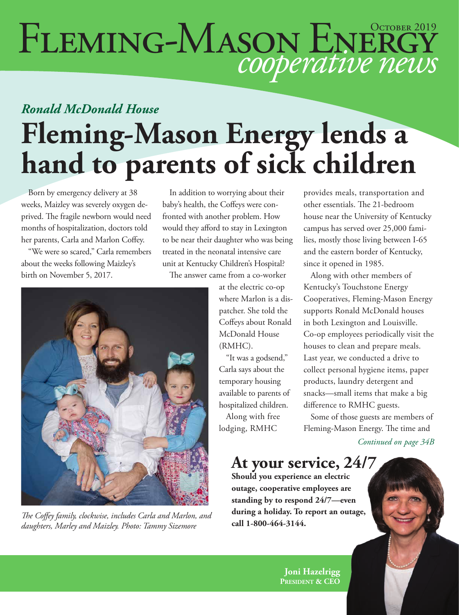# FLEMING-MASON ENERGY

### *Ronald McDonald House* **Fleming-Mason Energy lends a hand to parents of sick children**

Born by emergency delivery at 38 weeks, Maizley was severely oxygen deprived. The fragile newborn would need months of hospitalization, doctors told her parents, Carla and Marlon Coffey.

"We were so scared," Carla remembers about the weeks following Maizley's birth on November 5, 2017.

In addition to worrying about their baby's health, the Coffeys were confronted with another problem. How would they afford to stay in Lexington to be near their daughter who was being treated in the neonatal intensive care unit at Kentucky Children's Hospital?

The answer came from a co-worker



**call 1-800-464-3144.** *The Coffey family, clockwise, includes Carla and Marlon, and daughters, Marley and Maizley. Photo: Tammy Sizemore*

at the electric co-op where Marlon is a dispatcher. She told the Coffeys about Ronald McDonald House (RMHC).

"It was a godsend," Carla says about the temporary housing available to parents of hospitalized children.

Along with free lodging, RMHC

provides meals, transportation and other essentials. The 21-bedroom house near the University of Kentucky campus has served over 25,000 families, mostly those living between I-65 and the eastern border of Kentucky, since it opened in 1985.

Along with other members of Kentucky's Touchstone Energy Cooperatives, Fleming-Mason Energy supports Ronald McDonald houses in both Lexington and Louisville. Co-op employees periodically visit the houses to clean and prepare meals. Last year, we conducted a drive to collect personal hygiene items, paper products, laundry detergent and snacks—small items that make a big difference to RMHC guests.

Some of those guests are members of Fleming-Mason Energy. The time and

*Continued on page 34B*

### **At your service, 24/7**

**Should you experience an electric outage, cooperative employees are standing by to respond 24/7—even during a holiday. To report an outage,** 

> **Joni Hazelrigg President & CEO**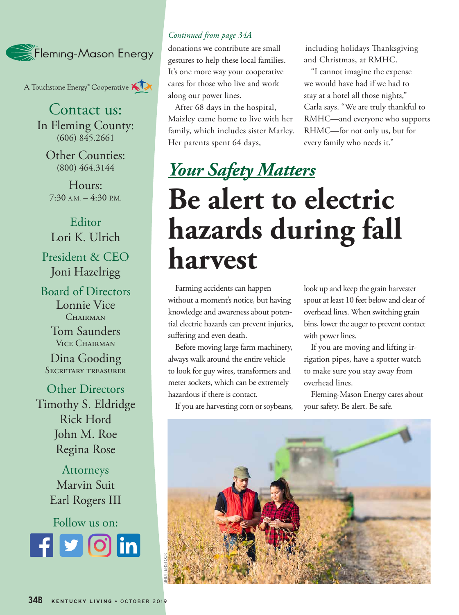

A Touchstone Energy<sup>®</sup> Cooperative AIX

Contact us: In Fleming County: (606) 845.2661

Other Counties: (800) 464.3144

Hours:  $7:30$  A.M.  $-4:30$  P.M.

Editor Lori K. Ulrich President & CEO Joni Hazelrigg

Board of Directors Lonnie Vice CHAIRMAN

> Tom Saunders Vice Chairman

Dina Gooding Secretary treasurer

Other Directors Timothy S. Eldridge Rick Hord John M. Roe Regina Rose

> Attorneys Marvin Suit Earl Rogers III

Follow us on: **Rounded square** Only use blue and/or white. For more details check out our Brand Guidelines.

#### *Continued from page 34A*

donations we contribute are small gestures to help these local families. It's one more way your cooperative cares for those who live and work along our power lines.

After 68 days in the hospital, Maizley came home to live with her family, which includes sister Marley. Her parents spent 64 days,

including holidays Thanksgiving and Christmas, at RMHC.

"I cannot imagine the expense we would have had if we had to stay at a hotel all those nights," Carla says. "We are truly thankful to RMHC—and everyone who supports RHMC—for not only us, but for every family who needs it."

### *Your Safety Matters* **Be alert to electric hazards during fall harvest**

Farming accidents can happen without a moment's notice, but having knowledge and awareness about potential electric hazards can prevent injuries, suffering and even death.

Before moving large farm machinery, always walk around the entire vehicle to look for guy wires, transformers and meter sockets, which can be extremely hazardous if there is contact.

If you are harvesting corn or soybeans,

look up and keep the grain harvester spout at least 10 feet below and clear of overhead lines. When switching grain bins, lower the auger to prevent contact with power lines.

If you are moving and lifting irrigation pipes, have a spotter watch to make sure you stay away from overhead lines.

Fleming-Mason Energy cares about your safety. Be alert. Be safe.

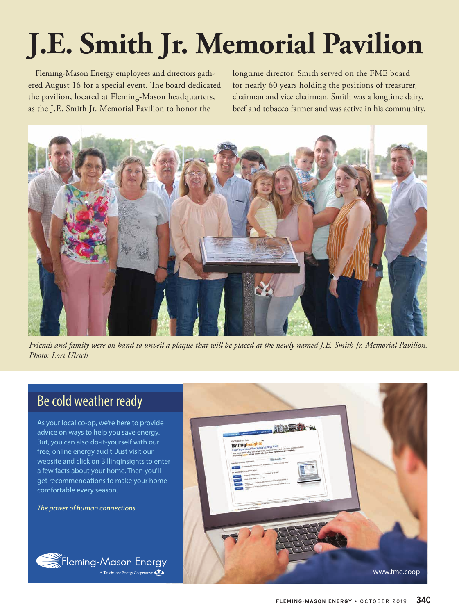# **J.E. Smith Jr. Memorial Pavilion**

Fleming-Mason Energy employees and directors gathered August 16 for a special event. The board dedicated the pavilion, located at Fleming-Mason headquarters, as the J.E. Smith Jr. Memorial Pavilion to honor the

longtime director. Smith served on the FME board for nearly 60 years holding the positions of treasurer, chairman and vice chairman. Smith was a longtime dairy, beef and tobacco farmer and was active in his community.



*Friends and family were on hand to unveil a plaque that will be placed at the newly named J.E. Smith Jr. Memorial Pavilion. Photo: Lori Ulrich*

### Be cold weather ready

As your local co-op, we're here to provide advice on ways to help you save energy. But, you can also do-it-yourself with our free, online energy audit. Just visit our website and click on BillingInsights to enter a few facts about your home. Then you'll get recommendations to make your home comfortable every season.

*The power of human connections*